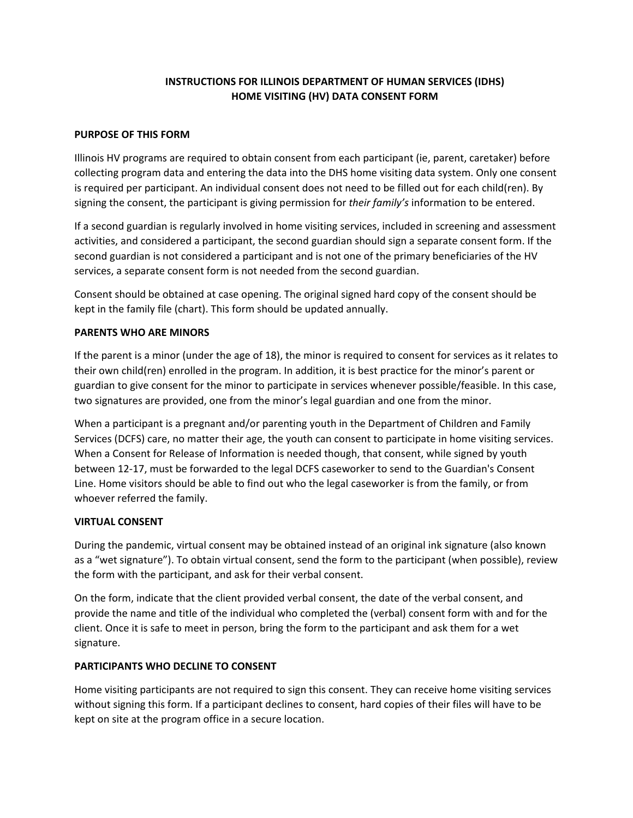# **INSTRUCTIONS FOR ILLINOIS DEPARTMENT OF HUMAN SERVICES (IDHS) HOME VISITING (HV) DATA CONSENT FORM**

### **PURPOSE OF THIS FORM**

Illinois HV programs are required to obtain consent from each participant (ie, parent, caretaker) before collecting program data and entering the data into the DHS home visiting data system. Only one consent is required per participant. An individual consent does not need to be filled out for each child(ren). By signing the consent, the participant is giving permission for *their family's* information to be entered.

If a second guardian is regularly involved in home visiting services, included in screening and assessment activities, and considered a participant, the second guardian should sign a separate consent form. If the second guardian is not considered a participant and is not one of the primary beneficiaries of the HV services, a separate consent form is not needed from the second guardian.

Consent should be obtained at case opening. The original signed hard copy of the consent should be kept in the family file (chart). This form should be updated annually.

## **PARENTS WHO ARE MINORS**

If the parent is a minor (under the age of 18), the minor is required to consent for services as it relates to their own child(ren) enrolled in the program. In addition, it is best practice for the minor's parent or guardian to give consent for the minor to participate in services whenever possible/feasible. In this case, two signatures are provided, one from the minor's legal guardian and one from the minor.

When a participant is a pregnant and/or parenting youth in the Department of Children and Family Services (DCFS) care, no matter their age, the youth can consent to participate in home visiting services. When a Consent for Release of Information is needed though, that consent, while signed by youth between 12-17, must be forwarded to the legal DCFS caseworker to send to the Guardian's Consent Line. Home visitors should be able to find out who the legal caseworker is from the family, or from whoever referred the family.

#### **VIRTUAL CONSENT**

During the pandemic, virtual consent may be obtained instead of an original ink signature (also known as a "wet signature"). To obtain virtual consent, send the form to the participant (when possible), review the form with the participant, and ask for their verbal consent.

On the form, indicate that the client provided verbal consent, the date of the verbal consent, and provide the name and title of the individual who completed the (verbal) consent form with and for the client. Once it is safe to meet in person, bring the form to the participant and ask them for a wet signature.

#### **PARTICIPANTS WHO DECLINE TO CONSENT**

Home visiting participants are not required to sign this consent. They can receive home visiting services without signing this form. If a participant declines to consent, hard copies of their files will have to be kept on site at the program office in a secure location.